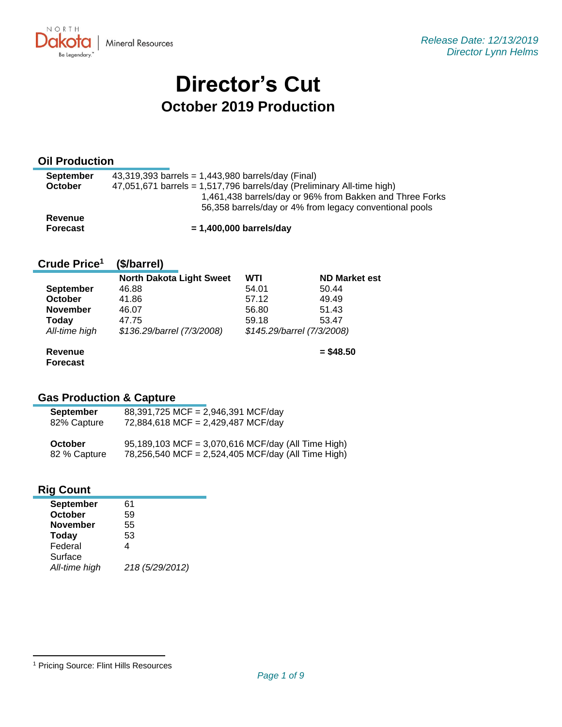

# **Director's Cut October 2019 Production**

#### **Oil Production**

| <b>September</b> | 43,319,393 barrels = $1,443,980$ barrels/day (Final)                     |
|------------------|--------------------------------------------------------------------------|
| <b>October</b>   | $47,051,671$ barrels = 1,517,796 barrels/day (Preliminary All-time high) |
|                  | 1,461,438 barrels/day or 96% from Bakken and Three Forks                 |
|                  | 56,358 barrels/day or 4% from legacy conventional pools                  |
| <b>Revenue</b>   |                                                                          |
| <b>Forecast</b>  | $= 1,400,000$ barrels/day                                                |

#### **Crude Price 1 (\$/barrel)**

|                                   | <b>North Dakota Light Sweet</b> | WTI   | <b>ND Market est</b>       |  |  |
|-----------------------------------|---------------------------------|-------|----------------------------|--|--|
| <b>September</b>                  | 46.88                           | 54.01 | 50.44                      |  |  |
| October                           | 41.86                           | 57.12 | 49.49                      |  |  |
| <b>November</b>                   | 46.07                           | 56.80 | 51.43                      |  |  |
| <b>Today</b>                      | 47.75                           | 59.18 | 53.47                      |  |  |
| All-time high                     | \$136.29/barrel (7/3/2008)      |       | \$145.29/barrel (7/3/2008) |  |  |
| <b>Revenue</b><br><b>Forecast</b> |                                 |       | $=$ \$48.50                |  |  |

## **Gas Production & Capture**

| <b>September</b> | 88,391,725 MCF = 2,946,391 MCF/day                 |
|------------------|----------------------------------------------------|
| 82% Capture      | 72,884,618 MCF = 2,429,487 MCF/day                 |
| October          | 95,189,103 MCF = 3,070,616 MCF/day (All Time High) |
| 82 % Capture     | 78,256,540 MCF = 2,524,405 MCF/day (All Time High) |

#### **Rig Count**

| <b>September</b> | 61              |
|------------------|-----------------|
| October          | 59              |
| <b>November</b>  | 55              |
| Today            | 53              |
| Federal          | 4               |
| Surface          |                 |
| All-time high    | 218 (5/29/2012) |

<sup>1</sup> Pricing Source: Flint Hills Resources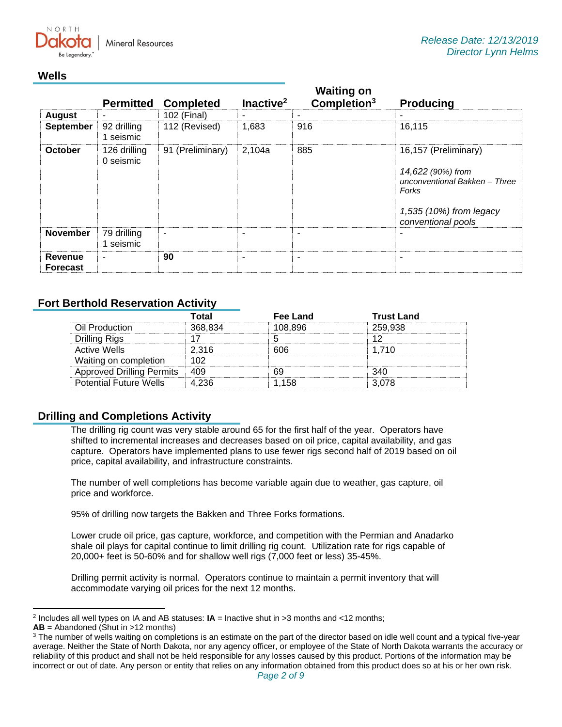$N$   $\cap$   $R$   $T$   $\vdash$ **Mineral Resources** 

#### **Wells**

|                            | <b>Permitted</b>          | <b>Completed</b>         | Inactive <sup>2</sup> | <b>Waiting on</b><br>Completion <sup>3</sup> | <b>Producing</b>                                                                                                                     |
|----------------------------|---------------------------|--------------------------|-----------------------|----------------------------------------------|--------------------------------------------------------------------------------------------------------------------------------------|
| <b>August</b>              |                           | 102 (Final)              |                       | ٠                                            |                                                                                                                                      |
| <b>September</b>           | 92 drilling<br>1 seismic  | 112 (Revised)            | 1,683                 | 916                                          | 16,115                                                                                                                               |
| <b>October</b>             | 126 drilling<br>0 seismic | 91 (Preliminary)         | 2,104a                | 885                                          | 16,157 (Preliminary)<br>14,622 (90%) from<br>unconventional Bakken - Three<br>Forks<br>1,535 (10%) from legacy<br>conventional pools |
| <b>November</b>            | 79 drilling<br>1 seismic  | $\overline{\phantom{a}}$ | ٠                     | ۰                                            |                                                                                                                                      |
| Revenue<br><b>Forecast</b> | $\overline{\phantom{0}}$  | 90                       | ۰                     | $\blacksquare$                               |                                                                                                                                      |

#### **Fort Berthold Reservation Activity**

|                                  | Total   | Fee Land | Trust Land |
|----------------------------------|---------|----------|------------|
| Oil Production                   | 368 834 | 08.896   | 259.938    |
| Drilling Rigs                    |         |          |            |
| Active Wells                     | 2.316   | 606      | 1 71 N     |
| Waiting on completion            |         |          |            |
| <b>Approved Drilling Permits</b> |         |          |            |
| <b>Potential Future Wells</b>    |         | 1 158    |            |

#### **Drilling and Completions Activity**

The drilling rig count was very stable around 65 for the first half of the year. Operators have shifted to incremental increases and decreases based on oil price, capital availability, and gas capture. Operators have implemented plans to use fewer rigs second half of 2019 based on oil price, capital availability, and infrastructure constraints.

The number of well completions has become variable again due to weather, gas capture, oil price and workforce.

95% of drilling now targets the Bakken and Three Forks formations.

Lower crude oil price, gas capture, workforce, and competition with the Permian and Anadarko shale oil plays for capital continue to limit drilling rig count. Utilization rate for rigs capable of 20,000+ feet is 50-60% and for shallow well rigs (7,000 feet or less) 35-45%.

Drilling permit activity is normal. Operators continue to maintain a permit inventory that will accommodate varying oil prices for the next 12 months.

<sup>2</sup> Includes all well types on IA and AB statuses: **IA** = Inactive shut in >3 months and <12 months;

**AB** = Abandoned (Shut in >12 months)

<sup>&</sup>lt;sup>3</sup> The number of wells waiting on completions is an estimate on the part of the director based on idle well count and a typical five-year average. Neither the State of North Dakota, nor any agency officer, or employee of the State of North Dakota warrants the accuracy or reliability of this product and shall not be held responsible for any losses caused by this product. Portions of the information may be incorrect or out of date. Any person or entity that relies on any information obtained from this product does so at his or her own risk.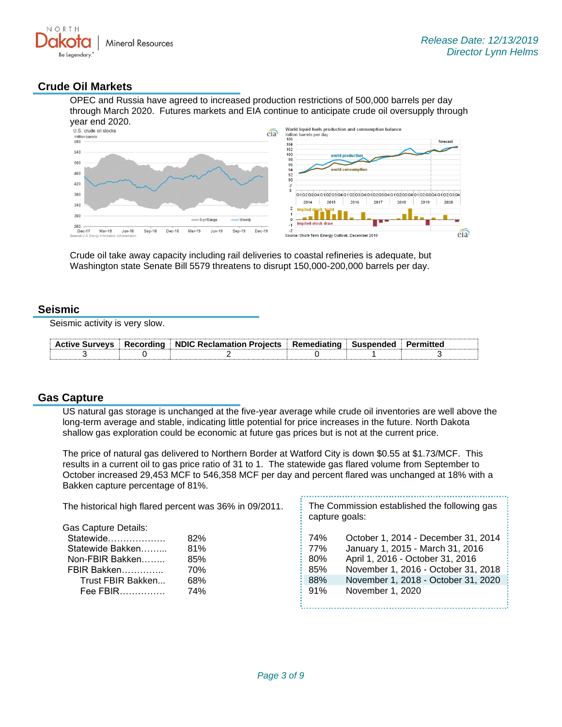

#### **Crude Oil Markets**

OPEC and Russia have agreed to increased production restrictions of 500,000 barrels per day through March 2020. Futures markets and EIA continue to anticipate crude oil oversupply through



Crude oil take away capacity including rail deliveries to coastal refineries is adequate, but Washington state Senate Bill 5579 threatens to disrupt 150,000-200,000 barrels per day.

#### **Seismic**

Seismic activity is very slow.

| <b>Active Surveys</b> | $\perp$ Recording $\perp$ NDIC Reclamation Projects $\perp$ Remediating $\perp$ 5 | ⊟ Suspended ⊧ |  |
|-----------------------|-----------------------------------------------------------------------------------|---------------|--|
|                       |                                                                                   |               |  |

#### **Gas Capture**

US natural gas storage is unchanged at the five-year average while crude oil inventories are well above the long-term average and stable, indicating little potential for price increases in the future. North Dakota shallow gas exploration could be economic at future gas prices but is not at the current price.

The price of natural gas delivered to Northern Border at Watford City is down \$0.55 at \$1.73/MCF. This results in a current oil to gas price ratio of 31 to 1. The statewide gas flared volume from September to October increased 29,453 MCF to 546,358 MCF per day and percent flared was unchanged at 18% with a Bakken capture percentage of 81%.

| The historical high flared percent was 36% in 09/2011. |     | The Commission established the following gas<br>capture goals: |                                     |  |
|--------------------------------------------------------|-----|----------------------------------------------------------------|-------------------------------------|--|
| <b>Gas Capture Details:</b>                            |     |                                                                |                                     |  |
| Statewide                                              | 82% | 74%                                                            | October 1, 2014 - December 31, 2014 |  |
| Statewide Bakken                                       | 81% | 77%                                                            | January 1, 2015 - March 31, 2016    |  |
| Non-FBIR Bakken                                        | 85% | 80%                                                            | April 1, 2016 - October 31, 2016    |  |
| FBIR Bakken                                            | 70% | 85%                                                            | November 1, 2016 - October 31, 2018 |  |
| Trust FBIR Bakken                                      | 68% | 88%                                                            | November 1, 2018 - October 31, 2020 |  |
| Fee FBIR                                               | 74% | 91%                                                            | November 1, 2020                    |  |
|                                                        |     |                                                                |                                     |  |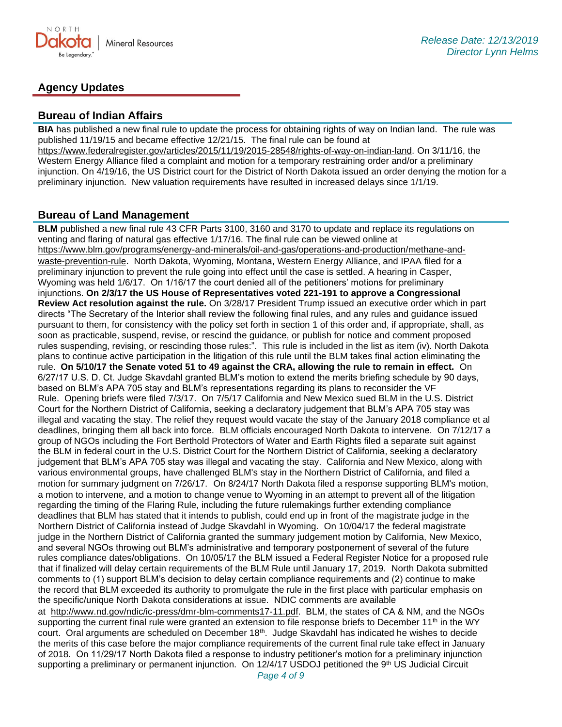

### **Agency Updates**

#### **Bureau of Indian Affairs**

**BIA** has published a new final rule to update the process for obtaining rights of way on Indian land. The rule was published 11/19/15 and became effective 12/21/15. The final rule can be found at [https://www.federalregister.gov/articles/2015/11/19/2015-28548/rights-of-way-on-indian-land.](https://www.federalregister.gov/articles/2015/11/19/2015-28548/rights-of-way-on-indian-land) On 3/11/16, the Western Energy Alliance filed a complaint and motion for a temporary restraining order and/or a preliminary injunction. On 4/19/16, the US District court for the District of North Dakota issued an order denying the motion for a preliminary injunction. New valuation requirements have resulted in increased delays since 1/1/19.

#### **Bureau of Land Management**

**BLM** published a new final rule 43 CFR Parts 3100, 3160 and 3170 to update and replace its regulations on venting and flaring of natural gas effective 1/17/16. The final rule can be viewed online at [https://www.blm.gov/programs/energy-and-minerals/oil-and-gas/operations-and-production/methane-and](https://www.blm.gov/programs/energy-and-minerals/oil-and-gas/operations-and-production/methane-and-waste-prevention-rule)[waste-prevention-rule](https://www.blm.gov/programs/energy-and-minerals/oil-and-gas/operations-and-production/methane-and-waste-prevention-rule). North Dakota, Wyoming, Montana, Western Energy Alliance, and IPAA filed for a preliminary injunction to prevent the rule going into effect until the case is settled. A hearing in Casper, Wyoming was held 1/6/17. On 1/16/17 the court denied all of the petitioners' motions for preliminary injunctions. **On 2/3/17 the US House of Representatives voted 221-191 to approve a Congressional Review Act resolution against the rule.** On 3/28/17 President Trump issued an executive order which in part directs "The Secretary of the Interior shall review the following final rules, and any rules and guidance issued pursuant to them, for consistency with the policy set forth in section 1 of this order and, if appropriate, shall, as soon as practicable, suspend, revise, or rescind the guidance, or publish for notice and comment proposed rules suspending, revising, or rescinding those rules:". This rule is included in the list as item (iv). North Dakota plans to continue active participation in the litigation of this rule until the BLM takes final action eliminating the rule. **On 5/10/17 the Senate voted 51 to 49 against the CRA, allowing the rule to remain in effect.** On 6/27/17 U.S. D. Ct. Judge Skavdahl granted BLM's motion to extend the merits briefing schedule by 90 days, based on BLM's APA 705 stay and BLM's representations regarding its plans to reconsider the VF Rule. Opening briefs were filed 7/3/17. On 7/5/17 California and New Mexico sued BLM in the U.S. District Court for the Northern District of California, seeking a declaratory judgement that BLM's APA 705 stay was illegal and vacating the stay. The relief they request would vacate the stay of the January 2018 compliance et al deadlines, bringing them all back into force. BLM officials encouraged North Dakota to intervene. On 7/12/17 a group of NGOs including the Fort Berthold Protectors of Water and Earth Rights filed a separate suit against the BLM in federal court in the U.S. District Court for the Northern District of California, seeking a declaratory judgement that BLM's APA 705 stay was illegal and vacating the stay. California and New Mexico, along with various environmental groups, have challenged BLM's stay in the Northern District of California, and filed a motion for summary judgment on 7/26/17. On 8/24/17 North Dakota filed a response supporting BLM's motion, a motion to intervene, and a motion to change venue to Wyoming in an attempt to prevent all of the litigation regarding the timing of the Flaring Rule, including the future rulemakings further extending compliance deadlines that BLM has stated that it intends to publish, could end up in front of the magistrate judge in the Northern District of California instead of Judge Skavdahl in Wyoming. On 10/04/17 the federal magistrate judge in the Northern District of California granted the summary judgement motion by California, New Mexico, and several NGOs throwing out BLM's administrative and temporary postponement of several of the future rules compliance dates/obligations. On 10/05/17 the BLM issued a Federal Register Notice for a proposed rule that if finalized will delay certain requirements of the BLM Rule until January 17, 2019. North Dakota submitted comments to (1) support BLM's decision to delay certain compliance requirements and (2) continue to make the record that BLM exceeded its authority to promulgate the rule in the first place with particular emphasis on the specific/unique North Dakota considerations at issue. NDIC comments are available at [http://www.nd.gov/ndic/ic-press/dmr-blm-comments17-11.pdf.](http://www.nd.gov/ndic/ic-press/dmr-blm-comments17-11.pdf) BLM, the states of CA & NM, and the NGOs supporting the current final rule were granted an extension to file response briefs to December 11<sup>th</sup> in the WY court. Oral arguments are scheduled on December 18<sup>th</sup>. Judge Skavdahl has indicated he wishes to decide the merits of this case before the major compliance requirements of the current final rule take effect in January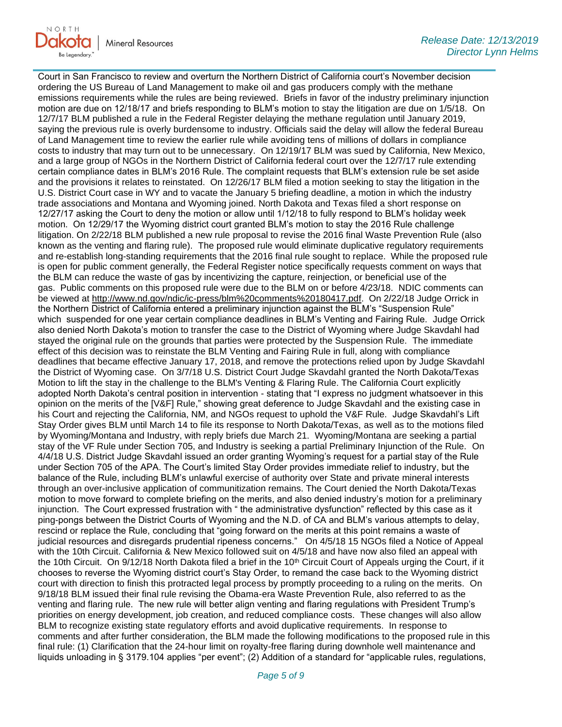

Court in San Francisco to review and overturn the Northern District of California court's November decision ordering the US Bureau of Land Management to make oil and gas producers comply with the methane emissions requirements while the rules are being reviewed. Briefs in favor of the industry preliminary injunction motion are due on 12/18/17 and briefs responding to BLM's motion to stay the litigation are due on 1/5/18. On 12/7/17 BLM published a rule in the Federal Register delaying the methane regulation until January 2019, saying the previous rule is overly burdensome to industry. Officials said the delay will allow the federal Bureau of Land Management time to review the earlier rule while avoiding tens of millions of dollars in compliance costs to industry that may turn out to be unnecessary. On 12/19/17 BLM was sued by California, New Mexico, and a large group of NGOs in the Northern District of California federal court over the 12/7/17 rule extending certain compliance dates in BLM's 2016 Rule. The complaint requests that BLM's extension rule be set aside and the provisions it relates to reinstated. On 12/26/17 BLM filed a motion seeking to stay the litigation in the U.S. District Court case in WY and to vacate the January 5 briefing deadline, a motion in which the industry trade associations and Montana and Wyoming joined. North Dakota and Texas filed a short response on 12/27/17 asking the Court to deny the motion or allow until 1/12/18 to fully respond to BLM's holiday week motion. On 12/29/17 the Wyoming district court granted BLM's motion to stay the 2016 Rule challenge litigation. On 2/22/18 BLM published a new rule proposal to revise the 2016 final Waste Prevention Rule (also known as the venting and flaring rule). The proposed rule would eliminate duplicative regulatory requirements and re-establish long-standing requirements that the 2016 final rule sought to replace. While the proposed rule is open for public comment generally, the Federal Register notice specifically requests comment on ways that the BLM can reduce the waste of gas by incentivizing the capture, reinjection, or beneficial use of the gas. Public comments on this proposed rule were due to the BLM on or before 4/23/18. NDIC comments can be viewed at [http://www.nd.gov/ndic/ic-press/blm%20comments%20180417.pdf.](http://www.nd.gov/ndic/ic-press/blm%20comments%20180417.pdf) On 2/22/18 Judge Orrick in the Northern District of California entered a preliminary injunction against the BLM's "Suspension Rule" which suspended for one year certain compliance deadlines in BLM's Venting and Fairing Rule. Judge Orrick also denied North Dakota's motion to transfer the case to the District of Wyoming where Judge Skavdahl had stayed the original rule on the grounds that parties were protected by the Suspension Rule. The immediate effect of this decision was to reinstate the BLM Venting and Fairing Rule in full, along with compliance deadlines that became effective January 17, 2018, and remove the protections relied upon by Judge Skavdahl the District of Wyoming case. On 3/7/18 U.S. District Court Judge Skavdahl granted the North Dakota/Texas Motion to lift the stay in the challenge to the BLM's Venting & Flaring Rule. The California Court explicitly adopted North Dakota's central position in intervention - stating that "I express no judgment whatsoever in this opinion on the merits of the [V&F] Rule," showing great deference to Judge Skavdahl and the existing case in his Court and rejecting the California, NM, and NGOs request to uphold the V&F Rule. Judge Skavdahl's Lift Stay Order gives BLM until March 14 to file its response to North Dakota/Texas, as well as to the motions filed by Wyoming/Montana and Industry, with reply briefs due March 21. Wyoming/Montana are seeking a partial stay of the VF Rule under Section 705, and Industry is seeking a partial Preliminary Injunction of the Rule. On 4/4/18 U.S. District Judge Skavdahl issued an order granting Wyoming's request for a partial stay of the Rule under Section 705 of the APA. The Court's limited Stay Order provides immediate relief to industry, but the balance of the Rule, including BLM's unlawful exercise of authority over State and private mineral interests through an over-inclusive application of communitization remains. The Court denied the North Dakota/Texas motion to move forward to complete briefing on the merits, and also denied industry's motion for a preliminary injunction. The Court expressed frustration with " the administrative dysfunction" reflected by this case as it ping-pongs between the District Courts of Wyoming and the N.D. of CA and BLM's various attempts to delay, rescind or replace the Rule, concluding that "going forward on the merits at this point remains a waste of judicial resources and disregards prudential ripeness concerns." On 4/5/18 15 NGOs filed a Notice of Appeal with the 10th Circuit. California & New Mexico followed suit on 4/5/18 and have now also filed an appeal with the 10th Circuit. On  $9/12/18$  North Dakota filed a brief in the 10<sup>th</sup> Circuit Court of Appeals urging the Court, if it chooses to reverse the Wyoming district court's Stay Order, to remand the case back to the Wyoming district court with direction to finish this protracted legal process by promptly proceeding to a ruling on the merits. On 9/18/18 BLM issued their final rule revising the Obama-era Waste Prevention Rule, also referred to as the venting and flaring rule. The new rule will better align venting and flaring regulations with President Trump's priorities on energy development, job creation, and reduced compliance costs. These changes will also allow BLM to recognize existing state regulatory efforts and avoid duplicative requirements. In response to comments and after further consideration, the BLM made the following modifications to the proposed rule in this final rule: (1) Clarification that the 24-hour limit on royalty-free flaring during downhole well maintenance and liquids unloading in § 3179.104 applies "per event"; (2) Addition of a standard for "applicable rules, regulations,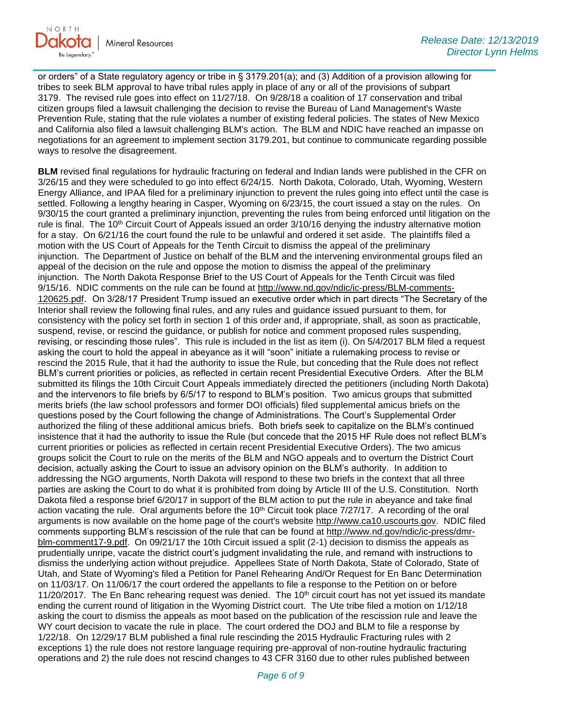

or orders" of a State regulatory agency or tribe in § 3179.201(a); and (3) Addition of a provision allowing for tribes to seek BLM approval to have tribal rules apply in place of any or all of the provisions of subpart 3179. The revised rule goes into effect on 11/27/18. On 9/28/18 a coalition of 17 conservation and tribal citizen groups filed a lawsuit challenging the decision to revise the Bureau of Land Management's Waste Prevention Rule, stating that the rule violates a number of existing federal policies. The states of New Mexico and California also filed a lawsuit challenging BLM's action. The BLM and NDIC have reached an impasse on negotiations for an agreement to implement section 3179.201, but continue to communicate regarding possible ways to resolve the disagreement.

**BLM** revised final regulations for hydraulic fracturing on federal and Indian lands were published in the CFR on 3/26/15 and they were scheduled to go into effect 6/24/15. North Dakota, Colorado, Utah, Wyoming, Western Energy Alliance, and IPAA filed for a preliminary injunction to prevent the rules going into effect until the case is settled. Following a lengthy hearing in Casper, Wyoming on 6/23/15, the court issued a stay on the rules. On 9/30/15 the court granted a preliminary injunction, preventing the rules from being enforced until litigation on the rule is final. The 10<sup>th</sup> Circuit Court of Appeals issued an order 3/10/16 denying the industry alternative motion for a stay. On 6/21/16 the court found the rule to be unlawful and ordered it set aside. The plaintiffs filed a motion with the US Court of Appeals for the Tenth Circuit to dismiss the appeal of the preliminary injunction. The Department of Justice on behalf of the BLM and the intervening environmental groups filed an appeal of the decision on the rule and oppose the motion to dismiss the appeal of the preliminary injunction. The North Dakota Response Brief to the US Court of Appeals for the Tenth Circuit was filed 9/15/16. NDIC comments on the rule can be found at [http://www.nd.gov/ndic/ic-press/BLM-comments-](http://www.nd.gov/ndic/ic-press/BLM-comments-120625.pdf)[120625.pdf](http://www.nd.gov/ndic/ic-press/BLM-comments-120625.pdf). On 3/28/17 President Trump issued an executive order which in part directs "The Secretary of the Interior shall review the following final rules, and any rules and guidance issued pursuant to them, for consistency with the policy set forth in section 1 of this order and, if appropriate, shall, as soon as practicable, suspend, revise, or rescind the guidance, or publish for notice and comment proposed rules suspending, revising, or rescinding those rules". This rule is included in the list as item (i). On 5/4/2017 BLM filed a request asking the court to hold the appeal in abeyance as it will "soon" initiate a rulemaking process to revise or rescind the 2015 Rule, that it had the authority to issue the Rule, but conceding that the Rule does not reflect BLM's current priorities or policies, as reflected in certain recent Presidential Executive Orders. After the BLM submitted its filings the 10th Circuit Court Appeals immediately directed the petitioners (including North Dakota) and the intervenors to file briefs by 6/5/17 to respond to BLM's position. Two amicus groups that submitted merits briefs (the law school professors and former DOI officials) filed supplemental amicus briefs on the questions posed by the Court following the change of Administrations. The Court's Supplemental Order authorized the filing of these additional amicus briefs. Both briefs seek to capitalize on the BLM's continued insistence that it had the authority to issue the Rule (but concede that the 2015 HF Rule does not reflect BLM's current priorities or policies as reflected in certain recent Presidential Executive Orders). The two amicus groups solicit the Court to rule on the merits of the BLM and NGO appeals and to overturn the District Court decision, actually asking the Court to issue an advisory opinion on the BLM's authority. In addition to addressing the NGO arguments, North Dakota will respond to these two briefs in the context that all three parties are asking the Court to do what it is prohibited from doing by Article III of the U.S. Constitution. North Dakota filed a response brief 6/20/17 in support of the BLM action to put the rule in abeyance and take final action vacating the rule. Oral arguments before the 10<sup>th</sup> Circuit took place 7/27/17. A recording of the oral arguments is now available on the home page of the court's website [http://www.ca10.uscourts.gov.](https://urldefense.proofpoint.com/v2/url?u=http-3A__www.ca10.uscourts.gov&d=DwMGaQ&c=2s2mvbfY0UoSKkl6_Ol9wg&r=-wqsZnBxny594KY8HeElow&m=Ul_VtJUX6iW5pvHjCcBxUWtskC0F4Dhry3sPtcEHvCw&s=laRHiLDv5w8otcQWQjpn82WMieoB2AZ-Q4M1LFQPL5s&e=) NDIC filed comments supporting BLM's rescission of the rule that can be found at [http://www.nd.gov/ndic/ic-press/dmr](http://www.nd.gov/ndic/ic-press/dmr-blm-comment17-9.pdf)[blm-comment17-9.pdf.](http://www.nd.gov/ndic/ic-press/dmr-blm-comment17-9.pdf) On 09/21/17 the 10th Circuit issued a split (2-1) decision to dismiss the appeals as prudentially unripe, vacate the district court's judgment invalidating the rule, and remand with instructions to dismiss the underlying action without prejudice. Appellees State of North Dakota, State of Colorado, State of Utah, and State of Wyoming's filed a Petition for Panel Rehearing And/Or Request for En Banc Determination on 11/03/17. On 11/06/17 the court ordered the appellants to file a response to the Petition on or before 11/20/2017. The En Banc rehearing request was denied. The  $10<sup>th</sup>$  circuit court has not yet issued its mandate ending the current round of litigation in the Wyoming District court. The Ute tribe filed a motion on 1/12/18 asking the court to dismiss the appeals as moot based on the publication of the rescission rule and leave the WY court decision to vacate the rule in place. The court ordered the DOJ and BLM to file a response by 1/22/18. On 12/29/17 BLM published a final rule rescinding the 2015 Hydraulic Fracturing rules with 2 exceptions 1) the rule does not restore language requiring pre-approval of non-routine hydraulic fracturing operations and 2) the rule does not rescind changes to 43 CFR 3160 due to other rules published between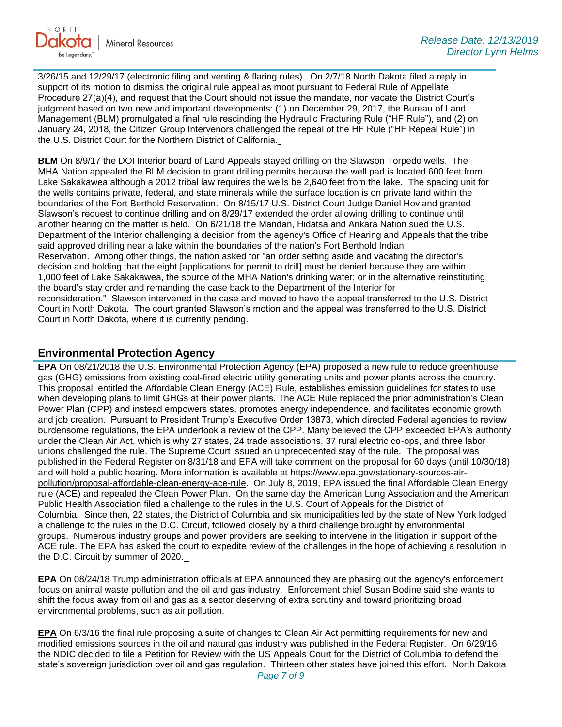

3/26/15 and 12/29/17 (electronic filing and venting & flaring rules). On 2/7/18 North Dakota filed a reply in support of its motion to dismiss the original rule appeal as moot pursuant to Federal Rule of Appellate Procedure 27(a)(4), and request that the Court should not issue the mandate, nor vacate the District Court's judgment based on two new and important developments: (1) on December 29, 2017, the Bureau of Land Management (BLM) promulgated a final rule rescinding the Hydraulic Fracturing Rule ("HF Rule"), and (2) on January 24, 2018, the Citizen Group Intervenors challenged the repeal of the HF Rule ("HF Repeal Rule") in the U.S. District Court for the Northern District of California.

**BLM** On 8/9/17 the DOI Interior board of Land Appeals stayed drilling on the Slawson Torpedo wells. The MHA Nation appealed the BLM decision to grant drilling permits because the well pad is located 600 feet from Lake Sakakawea although a 2012 tribal law requires the wells be 2,640 feet from the lake. The spacing unit for the wells contains private, federal, and state minerals while the surface location is on private land within the boundaries of the Fort Berthold Reservation. On 8/15/17 U.S. District Court Judge Daniel Hovland granted Slawson's request to continue drilling and on 8/29/17 extended the order allowing drilling to continue until another hearing on the matter is held. On 6/21/18 the Mandan, Hidatsa and Arikara Nation sued the U.S. Department of the Interior challenging a decision from the agency's Office of Hearing and Appeals that the tribe said approved drilling near a lake within the boundaries of the nation's Fort Berthold Indian Reservation. Among other things, the nation asked for "an order setting aside and vacating the director's decision and holding that the eight [applications for permit to drill] must be denied because they are within 1,000 feet of Lake Sakakawea, the source of the MHA Nation's drinking water; or in the alternative reinstituting the board's stay order and remanding the case back to the Department of the Interior for reconsideration." Slawson intervened in the case and moved to have the appeal transferred to the U.S. District Court in North Dakota. The court granted Slawson's motion and the appeal was transferred to the U.S. District Court in North Dakota, where it is currently pending.

#### **Environmental Protection Agency**

**EPA** On 08/21/2018 the U.S. Environmental Protection Agency (EPA) proposed a new rule to reduce greenhouse gas (GHG) emissions from existing coal-fired electric utility generating units and power plants across the country. This proposal, entitled the Affordable Clean Energy (ACE) Rule, establishes emission guidelines for states to use when developing plans to limit GHGs at their power plants. The ACE Rule replaced the prior administration's Clean Power Plan (CPP) and instead empowers states, promotes energy independence, and facilitates economic growth and job creation. Pursuant to President Trump's Executive Order 13873, which directed Federal agencies to review burdensome regulations, the EPA undertook a review of the CPP. Many believed the CPP exceeded EPA's authority under the Clean Air Act, which is why 27 states, 24 trade associations, 37 rural electric co-ops, and three labor unions challenged the rule. The Supreme Court issued an unprecedented stay of the rule. The proposal was published in the Federal Register on 8/31/18 and EPA will take comment on the proposal for 60 days (until 10/30/18) and will hold a public hearing. More information is available at [https://www.epa.gov/stationary-sources-air](https://www.epa.gov/stationary-sources-air-pollution/proposal-affordable-clean-energy-ace-rule)[pollution/proposal-affordable-clean-energy-ace-rule.](https://www.epa.gov/stationary-sources-air-pollution/proposal-affordable-clean-energy-ace-rule) On July 8, 2019, EPA issued the final Affordable Clean Energy rule (ACE) and repealed the Clean Power Plan. On the same day the American Lung Association and the American Public Health Association filed a challenge to the rules in the U.S. Court of Appeals for the District of Columbia. Since then, 22 states, the District of Columbia and six municipalities led by the state of New York lodged a challenge to the rules in the D.C. Circuit, followed closely by a third challenge brought by environmental groups. Numerous industry groups and power providers are seeking to intervene in the litigation in support of the ACE rule. The EPA has asked the court to expedite review of the challenges in the hope of achieving a resolution in the D.C. Circuit by summer of 2020.

**EPA** On 08/24/18 Trump administration officials at EPA announced they are phasing out the agency's enforcement focus on animal waste pollution and the oil and gas industry. Enforcement chief Susan Bodine said she wants to shift the focus away from oil and gas as a sector deserving of extra scrutiny and toward prioritizing broad environmental problems, such as air pollution.

**EPA** On 6/3/16 the final rule proposing a suite of changes to Clean Air Act permitting requirements for new and modified emissions sources in the oil and natural gas industry was published in the Federal Register. On 6/29/16 the NDIC decided to file a Petition for Review with the US Appeals Court for the District of Columbia to defend the state's sovereign jurisdiction over oil and gas regulation. Thirteen other states have joined this effort. North Dakota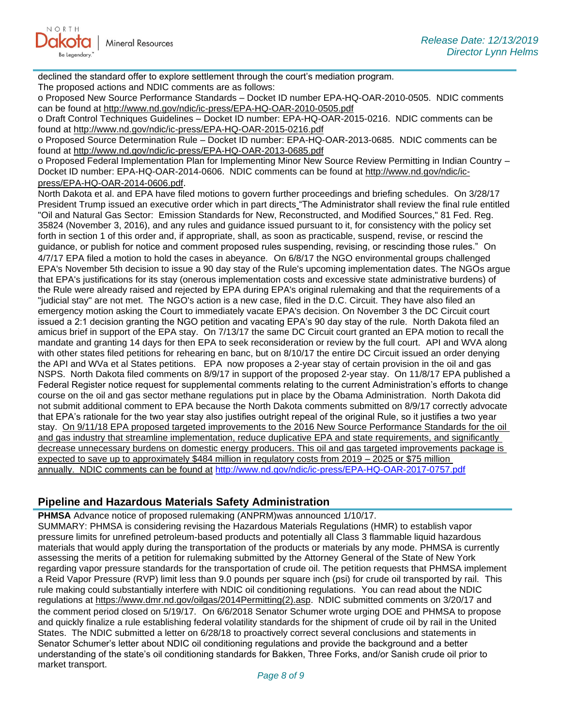declined the standard offer to explore settlement through the court's mediation program. The proposed actions and NDIC comments are as follows:

o Proposed New Source Performance Standards – Docket ID number EPA-HQ-OAR-2010-0505. NDIC comments can be found at<http://www.nd.gov/ndic/ic-press/EPA-HQ-OAR-2010-0505.pdf>

o Draft Control Techniques Guidelines – Docket ID number: EPA-HQ-OAR-2015-0216. NDIC comments can be found at<http://www.nd.gov/ndic/ic-press/EPA-HQ-OAR-2015-0216.pdf>

o Proposed Source Determination Rule – Docket ID number: EPA-HQ-OAR-2013-0685. NDIC comments can be found at<http://www.nd.gov/ndic/ic-press/EPA-HQ-OAR-2013-0685.pdf>

o Proposed Federal Implementation Plan for Implementing Minor New Source Review Permitting in Indian Country – Docket ID number: EPA-HQ-OAR-2014-0606. NDIC comments can be found at [http://www.nd.gov/ndic/ic](http://www.nd.gov/ndic/ic-press/EPA-HQ-OAR-2014-0606.pdf)[press/EPA-HQ-OAR-2014-0606.pdf](http://www.nd.gov/ndic/ic-press/EPA-HQ-OAR-2014-0606.pdf).

North Dakota et al. and EPA have filed motions to govern further proceedings and briefing schedules. On 3/28/17 President Trump issued an executive order which in part directs "The Administrator shall review the final rule entitled "Oil and Natural Gas Sector: Emission Standards for New, Reconstructed, and Modified Sources," 81 Fed. Reg. 35824 (November 3, 2016), and any rules and guidance issued pursuant to it, for consistency with the policy set forth in section 1 of this order and, if appropriate, shall, as soon as practicable, suspend, revise, or rescind the guidance, or publish for notice and comment proposed rules suspending, revising, or rescinding those rules." On 4/7/17 EPA filed a motion to hold the cases in abeyance. On 6/8/17 the NGO environmental groups challenged EPA's November 5th decision to issue a 90 day stay of the Rule's upcoming implementation dates. The NGOs argue that EPA's justifications for its stay (onerous implementation costs and excessive state administrative burdens) of the Rule were already raised and rejected by EPA during EPA's original rulemaking and that the requirements of a "judicial stay" are not met. The NGO's action is a new case, filed in the D.C. Circuit. They have also filed an emergency motion asking the Court to immediately vacate EPA's decision. On November 3 the DC Circuit court issued a 2:1 decision granting the NGO petition and vacating EPA's 90 day stay of the rule. North Dakota filed an amicus brief in support of the EPA stay. On 7/13/17 the same DC Circuit court granted an EPA motion to recall the mandate and granting 14 days for then EPA to seek reconsideration or review by the full court. API and WVA along with other states filed petitions for rehearing en banc, but on 8/10/17 the entire DC Circuit issued an order denying the API and WVa et al States petitions. EPA now proposes a 2-year stay of certain provision in the oil and gas NSPS. North Dakota filed comments on 8/9/17 in support of the proposed 2-year stay. On 11/8/17 EPA published a Federal Register notice request for supplemental comments relating to the current Administration's efforts to change course on the oil and gas sector methane regulations put in place by the Obama Administration. North Dakota did not submit additional comment to EPA because the North Dakota comments submitted on 8/9/17 correctly advocate that EPA's rationale for the two year stay also justifies outright repeal of the original Rule, so it justifies a two year stay. On 9/11/18 EPA proposed targeted improvements to the 2016 New Source Performance Standards for the oil and gas industry that streamline implementation, reduce duplicative EPA and state requirements, and significantly decrease unnecessary burdens on domestic energy producers. This oil and gas targeted improvements package is expected to save up to approximately \$484 million in regulatory costs from 2019 – 2025 or \$75 million annually. NDIC comments can be found at <http://www.nd.gov/ndic/ic-press/EPA-HQ-OAR-2017-0757.pdf>

#### **Pipeline and Hazardous Materials Safety Administration**

**PHMSA** Advance notice of proposed rulemaking (ANPRM)was announced 1/10/17. SUMMARY: PHMSA is considering revising the Hazardous Materials Regulations (HMR) to establish vapor pressure limits for unrefined petroleum-based products and potentially all Class 3 flammable liquid hazardous materials that would apply during the transportation of the products or materials by any mode. PHMSA is currently assessing the merits of a petition for rulemaking submitted by the Attorney General of the State of New York regarding vapor pressure standards for the transportation of crude oil. The petition requests that PHMSA implement a Reid Vapor Pressure (RVP) limit less than 9.0 pounds per square inch (psi) for crude oil transported by rail. This rule making could substantially interfere with NDIC oil conditioning regulations. You can read about the NDIC regulations at [https://www.dmr.nd.gov/oilgas/2014Permitting\(2\).asp.](https://www.dmr.nd.gov/oilgas/2014Permitting(2).asp) NDIC submitted comments on 3/20/17 and the comment period closed on 5/19/17. On 6/6/2018 Senator Schumer wrote urging DOE and PHMSA to propose and quickly finalize a rule establishing federal volatility standards for the shipment of crude oil by rail in the United States. The NDIC submitted a letter on 6/28/18 to proactively correct several conclusions and statements in Senator Schumer's letter about NDIC oil conditioning regulations and provide the background and a better understanding of the state's oil conditioning standards for Bakken, Three Forks, and/or Sanish crude oil prior to market transport.